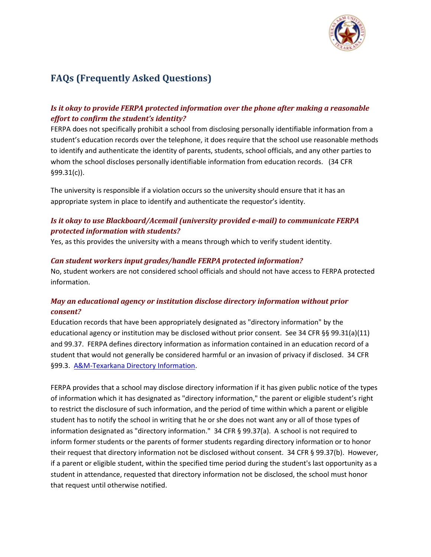

# **FAQs (Frequently Asked Questions)**

## *Is it okay to provide FERPA protected information over the phone after making a reasonable effort to confirm the student's identity?*

FERPA does not specifically prohibit a school from disclosing personally identifiable information from a student's education records over the telephone, it does require that the school use reasonable methods to identify and authenticate the identity of parents, students, school officials, and any other parties to whom the school discloses personally identifiable information from education records. (34 CFR §99.31(c)).

The university is responsible if a violation occurs so the university should ensure that it has an appropriate system in place to identify and authenticate the requestor's identity.

#### *Is it okay to use Blackboard/Acemail (university provided e-mail) to communicate FERPA protected information with students?*

Yes, as this provides the university with a means through which to verify student identity.

#### *Can student workers input grades/handle FERPA protected information?*

No, student workers are not considered school officials and should not have access to FERPA protected information.

#### *May an educational agency or institution disclose directory information without prior consent?*

Education records that have been appropriately designated as "directory information" by the educational agency or institution may be disclosed without prior consent. See 34 CFR §§ 99.31(a)(11) and 99.37. FERPA defines directory information as information contained in an education record of a student that would not generally be considered harmful or an invasion of privacy if disclosed. 34 CFR §99.3. [A&M-Texarkana Directory Information.](http://tamut.edu/admissions/enrollment-services/registrar/FERPA.html)

FERPA provides that a school may disclose directory information if it has given public notice of the types of information which it has designated as "directory information," the parent or eligible student's right to restrict the disclosure of such information, and the period of time within which a parent or eligible student has to notify the school in writing that he or she does not want any or all of those types of information designated as "directory information." 34 CFR § 99.37(a). A school is not required to inform former students or the parents of former students regarding directory information or to honor their request that directory information not be disclosed without consent. 34 CFR § 99.37(b). However, if a parent or eligible student, within the specified time period during the student's last opportunity as a student in attendance, requested that directory information not be disclosed, the school must honor that request until otherwise notified.